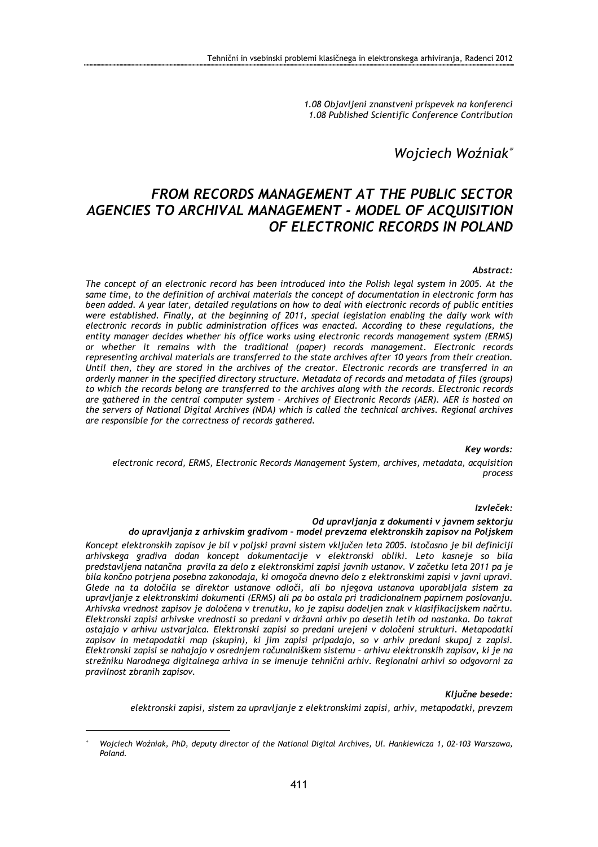1.08 Objavljeni znanstveni prispevek na konferenci 1.08 Published Scientific Conference Contribution

# Wojciech Woźniak<sup>∗</sup>

# FROM RECORDS MANAGEMENT AT THE PUBLIC SECTOR AGENCIES TO ARCHIVAL MANAGEMENT - MODEL OF ACQUISITION OF ELECTRONIC RECORDS IN POLAND

### Abstract:

The concept of an electronic record has been introduced into the Polish legal system in 2005. At the same time, to the definition of archival materials the concept of documentation in electronic form has been added. A year later, detailed regulations on how to deal with electronic records of public entities were established. Finally, at the beginning of 2011, special legislation enabling the daily work with electronic records in public administration offices was enacted. According to these regulations, the entity manager decides whether his office works using electronic records management system (ERMS) or whether it remains with the traditional (paper) records management. Electronic records representing archival materials are transferred to the state archives after 10 years from their creation. Until then, they are stored in the archives of the creator. Electronic records are transferred in an orderly manner in the specified directory structure. Metadata of records and metadata of files (groups) to which the records belong are transferred to the archives along with the records. Electronic records are gathered in the central computer system - Archives of Electronic Records (AER). AER is hosted on the servers of National Digital Archives (NDA) which is called the technical archives. Regional archives are responsible for the correctness of records gathered.

### Key words:

electronic record, ERMS, Electronic Records Management System, archives, metadata, acquisition process

#### Izvleček:

### Od upravljanja z dokumenti v javnem sektorju

### do upravljanja z arhivskim gradivom – model prevzema elektronskih zapisov na Poljskem

Koncept elektronskih zapisov je bil v poljski pravni sistem vključen leta 2005. Istočasno je bil definiciji arhivskega gradiva dodan koncept dokumentacije v elektronski obliki. Leto kasneje so bila predstavljena natančna pravila za delo z elektronskimi zapisi javnih ustanov. V začetku leta 2011 pa je bila končno potrjena posebna zakonodaja, ki omogoča dnevno delo z elektronskimi zapisi v javni upravi. Glede na ta določila se direktor ustanove odloči, ali bo njegova ustanova uporabljala sistem za upravljanje z elektronskimi dokumenti (ERMS) ali pa bo ostala pri tradicionalnem papirnem poslovanju. Arhivska vrednost zapisov je določena v trenutku, ko je zapisu dodeljen znak v klasifikacijskem načrtu. Elektronski zapisi arhivske vrednosti so predani v državni arhiv po desetih letih od nastanka. Do takrat ostajajo v arhivu ustvarjalca. Elektronski zapisi so predani urejeni v določeni strukturi. Metapodatki zapisov in metapodatki map (skupin), ki jim zapisi pripadajo, so v arhiv predani skupaj z zapisi. Elektronski zapisi se nahajajo v osrednjem računalniškem sistemu – arhivu elektronskih zapisov, ki je na strežniku Narodnega digitalnega arhiva in se imenuje tehnični arhiv. Regionalni arhivi so odgovorni za pravilnost zbranih zapisov.

### Ključne besede:

elektronski zapisi, sistem za upravljanje z elektronskimi zapisi, arhiv, metapodatki, prevzem

 $\overline{a}$ 

<sup>∗</sup> Wojciech Woźniak, PhD, deputy director of the National Digital Archives, Ul. Hankiewicza 1, 02-103 Warszawa, Poland.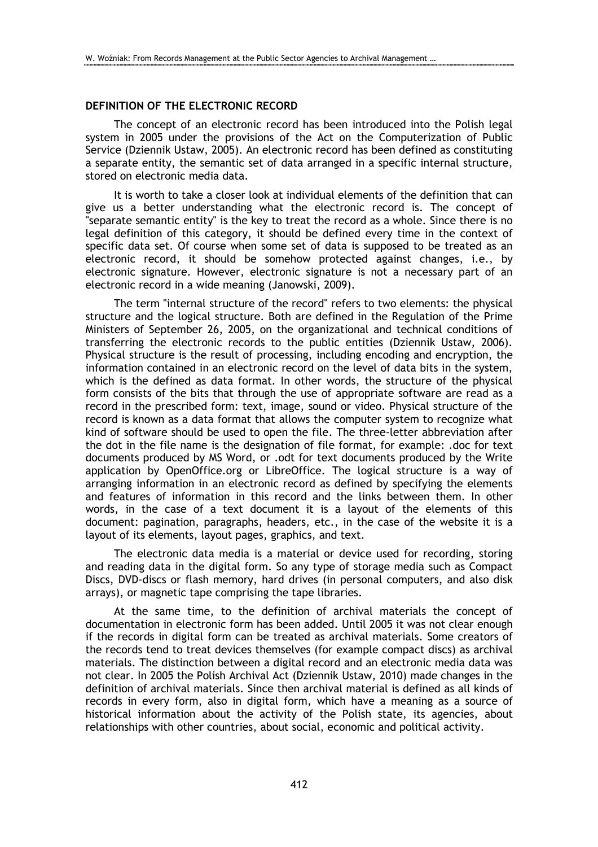# DEFINITION OF THE ELECTRONIC RECORD

The concept of an electronic record has been introduced into the Polish legal system in 2005 under the provisions of the Act on the Computerization of Public Service (Dziennik Ustaw, 2005). An electronic record has been defined as constituting a separate entity, the semantic set of data arranged in a specific internal structure, stored on electronic media data.

It is worth to take a closer look at individual elements of the definition that can give us a better understanding what the electronic record is. The concept of "separate semantic entity" is the key to treat the record as a whole. Since there is no legal definition of this category, it should be defined every time in the context of specific data set. Of course when some set of data is supposed to be treated as an electronic record, it should be somehow protected against changes, i.e., by electronic signature. However, electronic signature is not a necessary part of an electronic record in a wide meaning (Janowski, 2009).

The term "internal structure of the record" refers to two elements: the physical structure and the logical structure. Both are defined in the Regulation of the Prime Ministers of September 26, 2005, on the organizational and technical conditions of transferring the electronic records to the public entities (Dziennik Ustaw, 2006). Physical structure is the result of processing, including encoding and encryption, the information contained in an electronic record on the level of data bits in the system, which is the defined as data format. In other words, the structure of the physical form consists of the bits that through the use of appropriate software are read as a record in the prescribed form: text, image, sound or video. Physical structure of the record is known as a data format that allows the computer system to recognize what kind of software should be used to open the file. The three-letter abbreviation after the dot in the file name is the designation of file format, for example: .doc for text documents produced by MS Word, or .odt for text documents produced by the Write application by OpenOffice.org or LibreOffice. The logical structure is a way of arranging information in an electronic record as defined by specifying the elements and features of information in this record and the links between them. In other words, in the case of a text document it is a layout of the elements of this document: pagination, paragraphs, headers, etc., in the case of the website it is a layout of its elements, layout pages, graphics, and text.

The electronic data media is a material or device used for recording, storing and reading data in the digital form. So any type of storage media such as Compact Discs, DVD-discs or flash memory, hard drives (in personal computers, and also disk arrays), or magnetic tape comprising the tape libraries.

At the same time, to the definition of archival materials the concept of documentation in electronic form has been added. Until 2005 it was not clear enough if the records in digital form can be treated as archival materials. Some creators of the records tend to treat devices themselves (for example compact discs) as archival materials. The distinction between a digital record and an electronic media data was not clear. In 2005 the Polish Archival Act (Dziennik Ustaw, 2010) made changes in the definition of archival materials. Since then archival material is defined as all kinds of records in every form, also in digital form, which have a meaning as a source of historical information about the activity of the Polish state, its agencies, about relationships with other countries, about social, economic and political activity.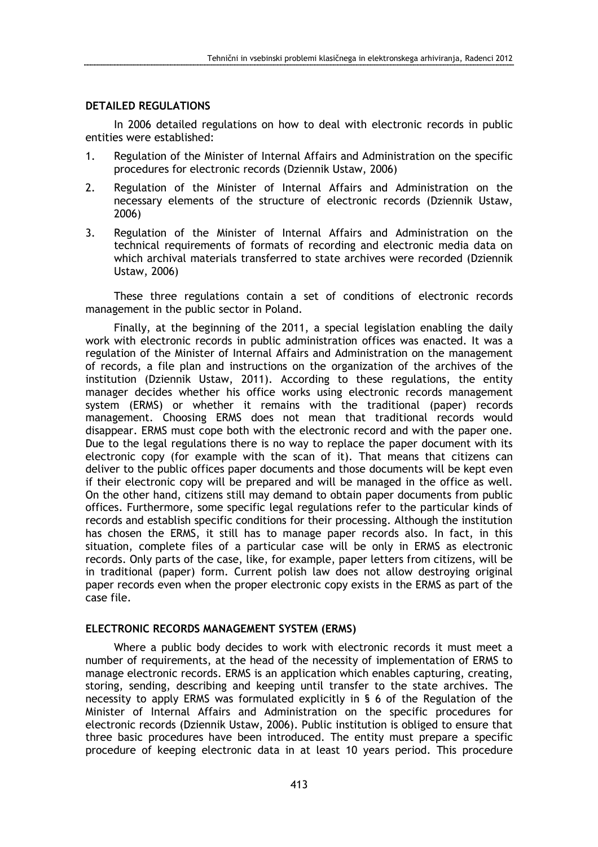# DETAILED REGULATIONS

In 2006 detailed regulations on how to deal with electronic records in public entities were established:

- 1. Regulation of the Minister of Internal Affairs and Administration on the specific procedures for electronic records (Dziennik Ustaw, 2006)
- 2. Regulation of the Minister of Internal Affairs and Administration on the necessary elements of the structure of electronic records (Dziennik Ustaw, 2006)
- 3. Regulation of the Minister of Internal Affairs and Administration on the technical requirements of formats of recording and electronic media data on which archival materials transferred to state archives were recorded (Dziennik Ustaw, 2006)

These three regulations contain a set of conditions of electronic records management in the public sector in Poland.

Finally, at the beginning of the 2011, a special legislation enabling the daily work with electronic records in public administration offices was enacted. It was a regulation of the Minister of Internal Affairs and Administration on the management of records, a file plan and instructions on the organization of the archives of the institution (Dziennik Ustaw, 2011). According to these regulations, the entity manager decides whether his office works using electronic records management system (ERMS) or whether it remains with the traditional (paper) records management. Choosing ERMS does not mean that traditional records would disappear. ERMS must cope both with the electronic record and with the paper one. Due to the legal regulations there is no way to replace the paper document with its electronic copy (for example with the scan of it). That means that citizens can deliver to the public offices paper documents and those documents will be kept even if their electronic copy will be prepared and will be managed in the office as well. On the other hand, citizens still may demand to obtain paper documents from public offices. Furthermore, some specific legal regulations refer to the particular kinds of records and establish specific conditions for their processing. Although the institution has chosen the ERMS, it still has to manage paper records also. In fact, in this situation, complete files of a particular case will be only in ERMS as electronic records. Only parts of the case, like, for example, paper letters from citizens, will be in traditional (paper) form. Current polish law does not allow destroying original paper records even when the proper electronic copy exists in the ERMS as part of the case file.

# ELECTRONIC RECORDS MANAGEMENT SYSTEM (ERMS)

Where a public body decides to work with electronic records it must meet a number of requirements, at the head of the necessity of implementation of ERMS to manage electronic records. ERMS is an application which enables capturing, creating, storing, sending, describing and keeping until transfer to the state archives. The necessity to apply ERMS was formulated explicitly in § 6 of the Regulation of the Minister of Internal Affairs and Administration on the specific procedures for electronic records (Dziennik Ustaw, 2006). Public institution is obliged to ensure that three basic procedures have been introduced. The entity must prepare a specific procedure of keeping electronic data in at least 10 years period. This procedure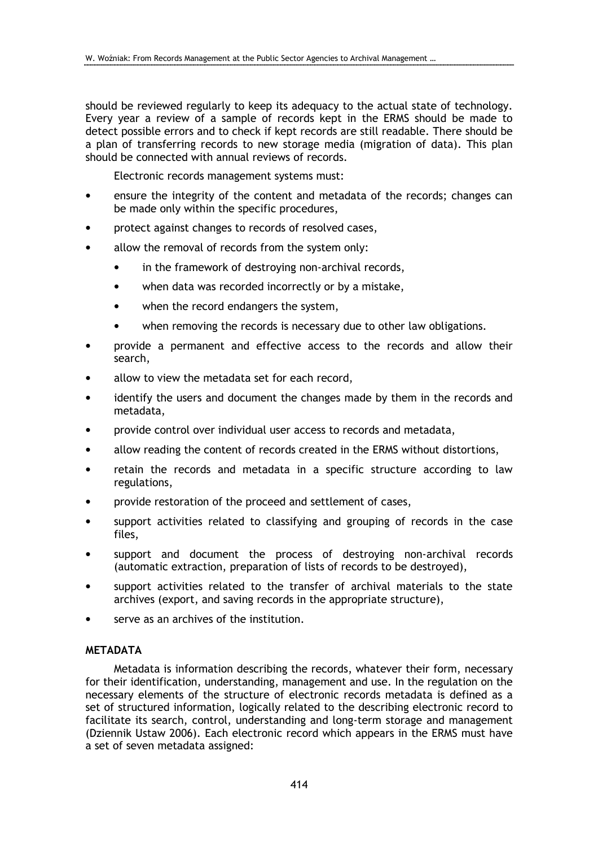should be reviewed regularly to keep its adequacy to the actual state of technology. Every year a review of a sample of records kept in the ERMS should be made to detect possible errors and to check if kept records are still readable. There should be a plan of transferring records to new storage media (migration of data). This plan should be connected with annual reviews of records.

Electronic records management systems must:

- ensure the integrity of the content and metadata of the records; changes can be made only within the specific procedures,
- protect against changes to records of resolved cases,
- allow the removal of records from the system only:
	- in the framework of destroying non-archival records,
	- when data was recorded incorrectly or by a mistake,
	- when the record endangers the system,
	- when removing the records is necessary due to other law obligations.
- provide a permanent and effective access to the records and allow their search,
- allow to view the metadata set for each record,
- identify the users and document the changes made by them in the records and metadata,
- provide control over individual user access to records and metadata,
- allow reading the content of records created in the ERMS without distortions,
- retain the records and metadata in a specific structure according to law regulations,
- provide restoration of the proceed and settlement of cases,
- support activities related to classifying and grouping of records in the case files,
- support and document the process of destroying non-archival records (automatic extraction, preparation of lists of records to be destroyed),
- support activities related to the transfer of archival materials to the state archives (export, and saving records in the appropriate structure),
- serve as an archives of the institution.

# **METADATA**

Metadata is information describing the records, whatever their form, necessary for their identification, understanding, management and use. In the regulation on the necessary elements of the structure of electronic records metadata is defined as a set of structured information, logically related to the describing electronic record to facilitate its search, control, understanding and long-term storage and management (Dziennik Ustaw 2006). Each electronic record which appears in the ERMS must have a set of seven metadata assigned: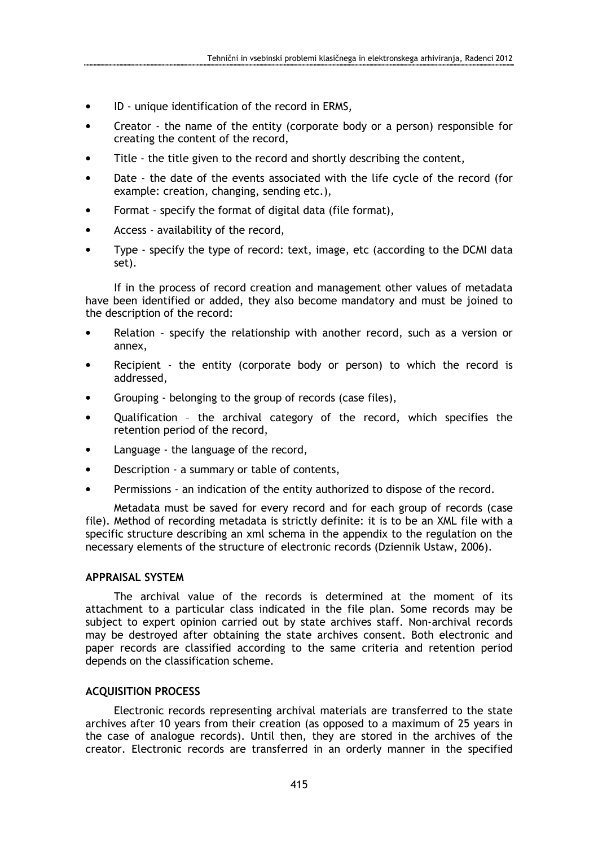- ID unique identification of the record in ERMS,
- Creator the name of the entity (corporate body or a person) responsible for creating the content of the record,
- Title the title given to the record and shortly describing the content,
- Date the date of the events associated with the life cycle of the record (for example: creation, changing, sending etc.),
- Format specify the format of digital data (file format),
- Access availability of the record,
- Type specify the type of record: text, image, etc (according to the DCMI data set).

If in the process of record creation and management other values of metadata have been identified or added, they also become mandatory and must be joined to the description of the record:

- Relation specify the relationship with another record, such as a version or annex,
- Recipient the entity (corporate body or person) to which the record is addressed,
- Grouping belonging to the group of records (case files),
- Qualification the archival category of the record, which specifies the retention period of the record,
- Language the language of the record,
- Description a summary or table of contents,
- Permissions an indication of the entity authorized to dispose of the record.

Metadata must be saved for every record and for each group of records (case file). Method of recording metadata is strictly definite: it is to be an XML file with a specific structure describing an xml schema in the appendix to the regulation on the necessary elements of the structure of electronic records (Dziennik Ustaw, 2006).

# APPRAISAL SYSTEM

The archival value of the records is determined at the moment of its attachment to a particular class indicated in the file plan. Some records may be subject to expert opinion carried out by state archives staff. Non-archival records may be destroyed after obtaining the state archives consent. Both electronic and paper records are classified according to the same criteria and retention period depends on the classification scheme.

# ACQUISITION PROCESS

Electronic records representing archival materials are transferred to the state archives after 10 years from their creation (as opposed to a maximum of 25 years in the case of analogue records). Until then, they are stored in the archives of the creator. Electronic records are transferred in an orderly manner in the specified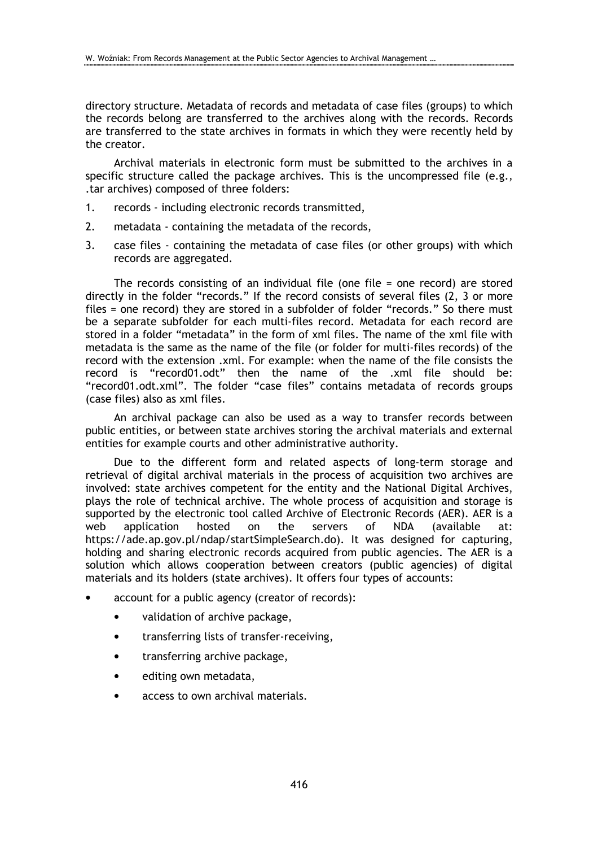directory structure. Metadata of records and metadata of case files (groups) to which the records belong are transferred to the archives along with the records. Records are transferred to the state archives in formats in which they were recently held by the creator.

Archival materials in electronic form must be submitted to the archives in a specific structure called the package archives. This is the uncompressed file (e.g., .tar archives) composed of three folders:

- 1. records including electronic records transmitted,
- 2. metadata containing the metadata of the records,
- 3. case files containing the metadata of case files (or other groups) with which records are aggregated.

The records consisting of an individual file (one file = one record) are stored directly in the folder "records." If the record consists of several files (2, 3 or more files = one record) they are stored in a subfolder of folder "records." So there must be a separate subfolder for each multi-files record. Metadata for each record are stored in a folder "metadata" in the form of xml files. The name of the xml file with metadata is the same as the name of the file (or folder for multi-files records) of the record with the extension .xml. For example: when the name of the file consists the record is "record01.odt" then the name of the .xml file should be: "record01.odt.xml". The folder "case files" contains metadata of records groups (case files) also as xml files.

An archival package can also be used as a way to transfer records between public entities, or between state archives storing the archival materials and external entities for example courts and other administrative authority.

Due to the different form and related aspects of long-term storage and retrieval of digital archival materials in the process of acquisition two archives are involved: state archives competent for the entity and the National Digital Archives, plays the role of technical archive. The whole process of acquisition and storage is supported by the electronic tool called Archive of Electronic Records (AER). AER is a web application hosted on the servers of NDA (available at: https://ade.ap.gov.pl/ndap/startSimpleSearch.do). It was designed for capturing, holding and sharing electronic records acquired from public agencies. The AER is a solution which allows cooperation between creators (public agencies) of digital materials and its holders (state archives). It offers four types of accounts:

- account for a public agency (creator of records):
	- validation of archive package,
	- transferring lists of transfer-receiving,
	- transferring archive package,
	- editing own metadata,
	- access to own archival materials.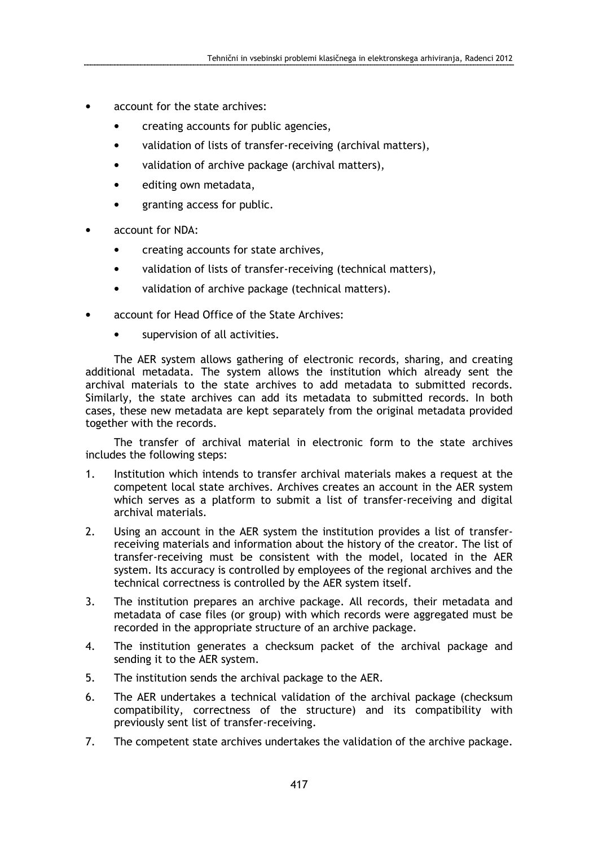- account for the state archives:
	- creating accounts for public agencies,
	- validation of lists of transfer-receiving (archival matters),
	- validation of archive package (archival matters),
	- editing own metadata,
	- granting access for public.
- account for NDA:
	- creating accounts for state archives,
	- validation of lists of transfer-receiving (technical matters),
	- validation of archive package (technical matters).
- account for Head Office of the State Archives:
	- supervision of all activities.

The AER system allows gathering of electronic records, sharing, and creating additional metadata. The system allows the institution which already sent the archival materials to the state archives to add metadata to submitted records. Similarly, the state archives can add its metadata to submitted records. In both cases, these new metadata are kept separately from the original metadata provided together with the records.

The transfer of archival material in electronic form to the state archives includes the following steps:

- 1. Institution which intends to transfer archival materials makes a request at the competent local state archives. Archives creates an account in the AER system which serves as a platform to submit a list of transfer-receiving and digital archival materials.
- 2. Using an account in the AER system the institution provides a list of transferreceiving materials and information about the history of the creator. The list of transfer-receiving must be consistent with the model, located in the AER system. Its accuracy is controlled by employees of the regional archives and the technical correctness is controlled by the AER system itself.
- 3. The institution prepares an archive package. All records, their metadata and metadata of case files (or group) with which records were aggregated must be recorded in the appropriate structure of an archive package.
- 4. The institution generates a checksum packet of the archival package and sending it to the AER system.
- 5. The institution sends the archival package to the AER.
- 6. The AER undertakes a technical validation of the archival package (checksum compatibility, correctness of the structure) and its compatibility with previously sent list of transfer-receiving.
- 7. The competent state archives undertakes the validation of the archive package.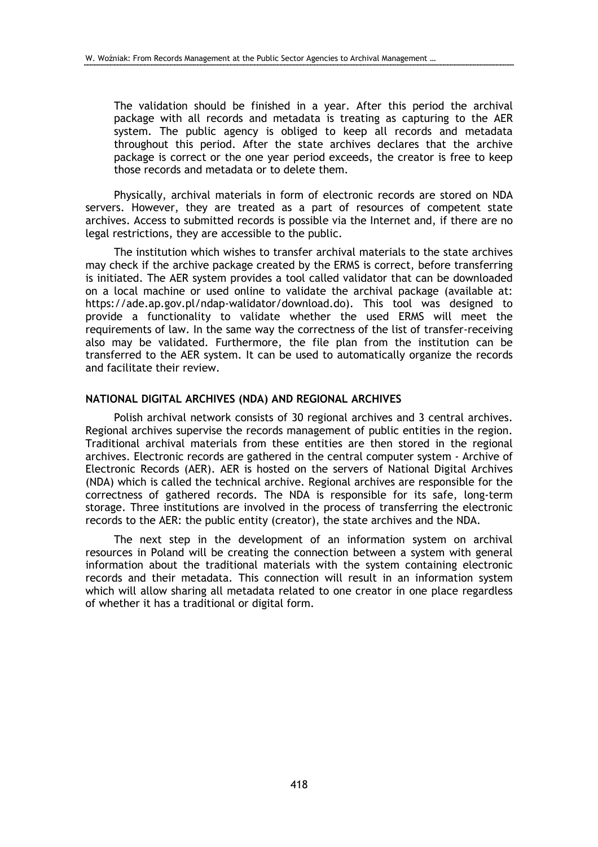The validation should be finished in a year. After this period the archival package with all records and metadata is treating as capturing to the AER system. The public agency is obliged to keep all records and metadata throughout this period. After the state archives declares that the archive package is correct or the one year period exceeds, the creator is free to keep those records and metadata or to delete them.

Physically, archival materials in form of electronic records are stored on NDA servers. However, they are treated as a part of resources of competent state archives. Access to submitted records is possible via the Internet and, if there are no legal restrictions, they are accessible to the public.

The institution which wishes to transfer archival materials to the state archives may check if the archive package created by the ERMS is correct, before transferring is initiated. The AER system provides a tool called validator that can be downloaded on a local machine or used online to validate the archival package (available at: https://ade.ap.gov.pl/ndap-walidator/download.do). This tool was designed to provide a functionality to validate whether the used ERMS will meet the requirements of law. In the same way the correctness of the list of transfer-receiving also may be validated. Furthermore, the file plan from the institution can be transferred to the AER system. It can be used to automatically organize the records and facilitate their review.

### NATIONAL DIGITAL ARCHIVES (NDA) AND REGIONAL ARCHIVES

Polish archival network consists of 30 regional archives and 3 central archives. Regional archives supervise the records management of public entities in the region. Traditional archival materials from these entities are then stored in the regional archives. Electronic records are gathered in the central computer system - Archive of Electronic Records (AER). AER is hosted on the servers of National Digital Archives (NDA) which is called the technical archive. Regional archives are responsible for the correctness of gathered records. The NDA is responsible for its safe, long-term storage. Three institutions are involved in the process of transferring the electronic records to the AER: the public entity (creator), the state archives and the NDA.

The next step in the development of an information system on archival resources in Poland will be creating the connection between a system with general information about the traditional materials with the system containing electronic records and their metadata. This connection will result in an information system which will allow sharing all metadata related to one creator in one place regardless of whether it has a traditional or digital form.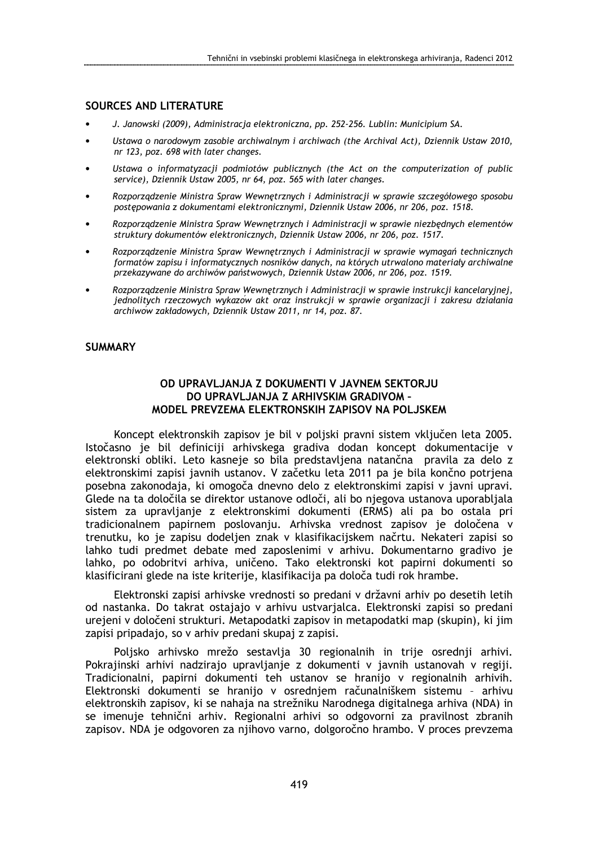# SOURCES AND LITERATURE

- J. Janowski (2009), Administracja elektroniczna, pp. 252-256. Lublin: Municipium SA.
- Ustawa o narodowym zasobie archiwalnym i archiwach (the Archival Act), Dziennik Ustaw 2010, nr 123, poz. 698 with later changes.
- Ustawa o informatyzacji podmiotów publicznych (the Act on the computerization of public service), Dziennik Ustaw 2005, nr 64, poz. 565 with later changes.
- Rozporządzenie Ministra Spraw Wewnętrznych i Administracji w sprawie szczegółowego sposobu postępowania z dokumentami elektronicznymi, Dziennik Ustaw 2006, nr 206, poz. 1518.
- Rozporządzenie Ministra Spraw Wewnętrznych i Administracji w sprawie niezbędnych elementów struktury dokumentów elektronicznych, Dziennik Ustaw 2006, nr 206, poz. 1517.
- Rozporządzenie Ministra Spraw Wewnętrznych i Administracji w sprawie wymagań technicznych formatów zapisu i informatycznych nosników danych, na których utrwalono materiały archiwalne przekazywane do archiwów państwowych, Dziennik Ustaw 2006, nr 206, poz. 1519.
- Rozporządzenie Ministra Spraw Wewnętrznych i Administracji w sprawie instrukcji kancelaryjnej, jednolitych rzeczowych wykazów akt oraz instrukcji w sprawie organizacji i zakresu działania archiwów zakładowych, Dziennik Ustaw 2011, nr 14, poz. 87.

### **SUMMARY**

# OD UPRAVLJANJA Z DOKUMENTI V JAVNEM SEKTORJU DO UPRAVLJANJA Z ARHIVSKIM GRADIVOM – MODEL PREVZEMA ELEKTRONSKIH ZAPISOV NA POLJSKEM

Koncept elektronskih zapisov je bil v poljski pravni sistem vključen leta 2005. Istočasno je bil definiciji arhivskega gradiva dodan koncept dokumentacije v elektronski obliki. Leto kasneje so bila predstavljena natančna pravila za delo z elektronskimi zapisi javnih ustanov. V začetku leta 2011 pa je bila končno potrjena posebna zakonodaja, ki omogoča dnevno delo z elektronskimi zapisi v javni upravi. Glede na ta določila se direktor ustanove odloči, ali bo njegova ustanova uporabljala sistem za upravljanje z elektronskimi dokumenti (ERMS) ali pa bo ostala pri tradicionalnem papirnem poslovanju. Arhivska vrednost zapisov je določena v trenutku, ko je zapisu dodeljen znak v klasifikacijskem načrtu. Nekateri zapisi so lahko tudi predmet debate med zaposlenimi v arhivu. Dokumentarno gradivo je lahko, po odobritvi arhiva, uničeno. Tako elektronski kot papirni dokumenti so klasificirani glede na iste kriterije, klasifikacija pa določa tudi rok hrambe.

Elektronski zapisi arhivske vrednosti so predani v državni arhiv po desetih letih od nastanka. Do takrat ostajajo v arhivu ustvarjalca. Elektronski zapisi so predani ureieni v določeni strukturi. Metapodatki zapisov in metapodatki map (skupin), ki jim zapisi pripadajo, so v arhiv predani skupaj z zapisi.

Poljsko arhivsko mrežo sestavlja 30 regionalnih in trije osrednji arhivi. Pokrajinski arhivi nadzirajo upravljanje z dokumenti v javnih ustanovah v regiji. Tradicionalni, papirni dokumenti teh ustanov se hranijo v regionalnih arhivih. Elektronski dokumenti se hranijo v osrednjem računalniškem sistemu – arhivu elektronskih zapisov, ki se nahaja na strežniku Narodnega digitalnega arhiva (NDA) in se imenuje tehnični arhiv. Regionalni arhivi so odgovorni za pravilnost zbranih zapisov. NDA je odgovoren za njihovo varno, dolgoročno hrambo. V proces prevzema